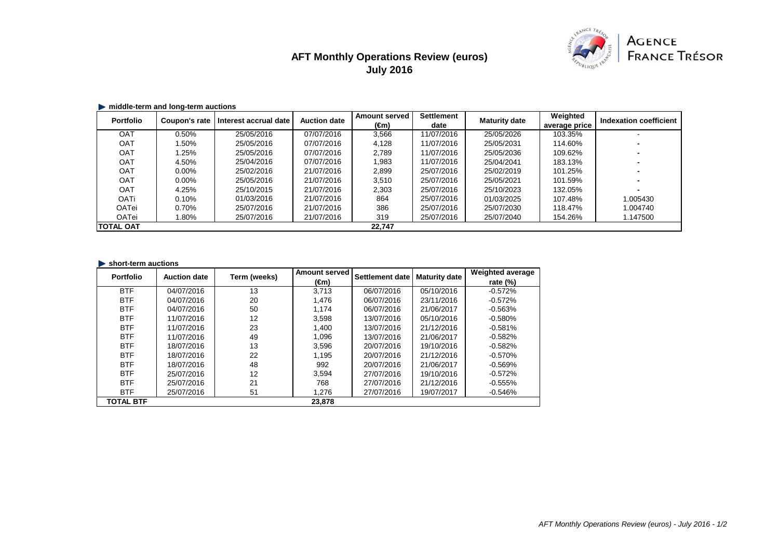# **AFT Monthly Operations Review (euros) July 2016**



### **middle-term and long-term auctions**

| <b>Portfolio</b> | Coupon's rate | Interest accrual date | <b>Auction date</b> | <b>Amount served</b><br>(€m) | <b>Settlement</b><br>date | <b>Maturity date</b> | Weighted<br>average price | Indexation coefficient |
|------------------|---------------|-----------------------|---------------------|------------------------------|---------------------------|----------------------|---------------------------|------------------------|
| OAT              | 0.50%         | 25/05/2016            | 07/07/2016          | 3,566                        | 11/07/2016                | 25/05/2026           | 103.35%                   |                        |
| OAT              | .50%          | 25/05/2016            | 07/07/2016          | 4,128                        | 11/07/2016                | 25/05/2031           | 114.60%                   |                        |
| OAT              | .25%          | 25/05/2016            | 07/07/2016          | 2.789                        | 11/07/2016                | 25/05/2036           | 109.62%                   |                        |
| OAT              | 4.50%         | 25/04/2016            | 07/07/2016          | 1,983                        | 11/07/2016                | 25/04/2041           | 183.13%                   |                        |
| <b>OAT</b>       | $0.00\%$      | 25/02/2016            | 21/07/2016          | 2,899                        | 25/07/2016                | 25/02/2019           | 101.25%                   |                        |
| <b>OAT</b>       | $0.00\%$      | 25/05/2016            | 21/07/2016          | 3,510                        | 25/07/2016                | 25/05/2021           | 101.59%                   |                        |
| OAT              | 4.25%         | 25/10/2015            | 21/07/2016          | 2,303                        | 25/07/2016                | 25/10/2023           | 132.05%                   |                        |
| <b>OATi</b>      | 0.10%         | 01/03/2016            | 21/07/2016          | 864                          | 25/07/2016                | 01/03/2025           | 107.48%                   | 1.005430               |
| OATei            | 0.70%         | 25/07/2016            | 21/07/2016          | 386                          | 25/07/2016                | 25/07/2030           | 118.47%                   | 1.004740               |
| OATei            | .80%          | 25/07/2016            | 21/07/2016          | 319                          | 25/07/2016                | 25/07/2040           | 154.26%                   | 1.147500               |
| <b>TOTAL OAT</b> |               |                       |                     | 22,747                       |                           |                      |                           |                        |

#### **short-term auctions**

| <b>Portfolio</b> | <b>Auction date</b> | Term (weeks) | <b>Amount served</b> | <b>Settlement date</b> | <b>Maturity date</b> | <b>Weighted average</b> |
|------------------|---------------------|--------------|----------------------|------------------------|----------------------|-------------------------|
|                  |                     |              | (€m)                 |                        |                      | rate $(\%)$             |
| <b>BTF</b>       | 04/07/2016          | 13           | 3.713                | 06/07/2016             | 05/10/2016           | $-0.572%$               |
| <b>BTF</b>       | 04/07/2016          | 20           | 1.476                | 06/07/2016             | 23/11/2016           | $-0.572%$               |
| <b>BTF</b>       | 04/07/2016          | 50           | 1.174                | 06/07/2016             | 21/06/2017           | $-0.563%$               |
| <b>BTF</b>       | 11/07/2016          | 12           | 3,598                | 13/07/2016             | 05/10/2016           | $-0.580%$               |
| <b>BTF</b>       | 11/07/2016          | 23           | 1.400                | 13/07/2016             | 21/12/2016           | $-0.581%$               |
| <b>BTF</b>       | 11/07/2016          | 49           | 1.096                | 13/07/2016             | 21/06/2017           | $-0.582%$               |
| <b>BTF</b>       | 18/07/2016          | 13           | 3,596                | 20/07/2016             | 19/10/2016           | $-0.582%$               |
| <b>BTF</b>       | 18/07/2016          | 22           | 1.195                | 20/07/2016             | 21/12/2016           | $-0.570%$               |
| <b>BTF</b>       | 18/07/2016          | 48           | 992                  | 20/07/2016             | 21/06/2017           | $-0.569%$               |
| <b>BTF</b>       | 25/07/2016          | 12           | 3.594                | 27/07/2016             | 19/10/2016           | $-0.572%$               |
| <b>BTF</b>       | 25/07/2016          | 21           | 768                  | 27/07/2016             | 21/12/2016           | $-0.555%$               |
| <b>BTF</b>       | 25/07/2016          | 51           | 1.276                | 27/07/2016             | 19/07/2017           | $-0.546%$               |
| <b>TOTAL BTF</b> |                     |              | 23,878               |                        |                      |                         |